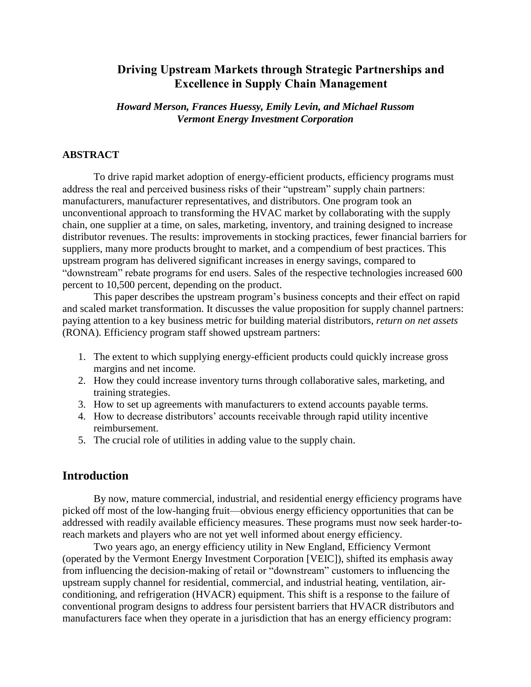# **Driving Upstream Markets through Strategic Partnerships and Excellence in Supply Chain Management**

*Howard Merson, Frances Huessy, Emily Levin, and Michael Russom Vermont Energy Investment Corporation*

#### **ABSTRACT**

To drive rapid market adoption of energy-efficient products, efficiency programs must address the real and perceived business risks of their "upstream" supply chain partners: manufacturers, manufacturer representatives, and distributors. One program took an unconventional approach to transforming the HVAC market by collaborating with the supply chain, one supplier at a time, on sales, marketing, inventory, and training designed to increase distributor revenues. The results: improvements in stocking practices, fewer financial barriers for suppliers, many more products brought to market, and a compendium of best practices. This upstream program has delivered significant increases in energy savings, compared to "downstream" rebate programs for end users. Sales of the respective technologies increased 600 percent to 10,500 percent, depending on the product.

This paper describes the upstream program's business concepts and their effect on rapid and scaled market transformation. It discusses the value proposition for supply channel partners: paying attention to a key business metric for building material distributors, *return on net assets* (RONA). Efficiency program staff showed upstream partners:

- 1. The extent to which supplying energy-efficient products could quickly increase gross margins and net income.
- 2. How they could increase inventory turns through collaborative sales, marketing, and training strategies.
- 3. How to set up agreements with manufacturers to extend accounts payable terms.
- 4. How to decrease distributors' accounts receivable through rapid utility incentive reimbursement.
- 5. The crucial role of utilities in adding value to the supply chain.

### **Introduction**

By now, mature commercial, industrial, and residential energy efficiency programs have picked off most of the low-hanging fruit—obvious energy efficiency opportunities that can be addressed with readily available efficiency measures. These programs must now seek harder-toreach markets and players who are not yet well informed about energy efficiency.

Two years ago, an energy efficiency utility in New England, Efficiency Vermont (operated by the Vermont Energy Investment Corporation [VEIC]), shifted its emphasis away from influencing the decision-making of retail or "downstream" customers to influencing the upstream supply channel for residential, commercial, and industrial heating, ventilation, airconditioning, and refrigeration (HVACR) equipment. This shift is a response to the failure of conventional program designs to address four persistent barriers that HVACR distributors and manufacturers face when they operate in a jurisdiction that has an energy efficiency program: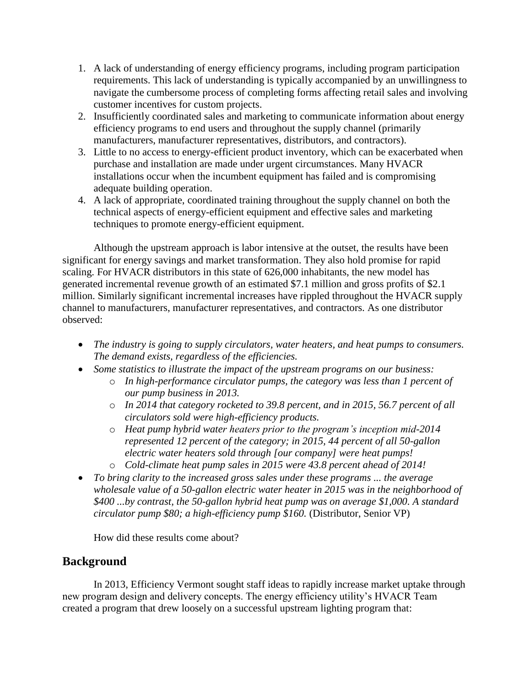- 1. A lack of understanding of energy efficiency programs, including program participation requirements. This lack of understanding is typically accompanied by an unwillingness to navigate the cumbersome process of completing forms affecting retail sales and involving customer incentives for custom projects.
- 2. Insufficiently coordinated sales and marketing to communicate information about energy efficiency programs to end users and throughout the supply channel (primarily manufacturers, manufacturer representatives, distributors, and contractors).
- 3. Little to no access to energy-efficient product inventory, which can be exacerbated when purchase and installation are made under urgent circumstances. Many HVACR installations occur when the incumbent equipment has failed and is compromising adequate building operation.
- 4. A lack of appropriate, coordinated training throughout the supply channel on both the technical aspects of energy-efficient equipment and effective sales and marketing techniques to promote energy-efficient equipment.

Although the upstream approach is labor intensive at the outset, the results have been significant for energy savings and market transformation. They also hold promise for rapid scaling. For HVACR distributors in this state of 626,000 inhabitants, the new model has generated incremental revenue growth of an estimated \$7.1 million and gross profits of \$2.1 million. Similarly significant incremental increases have rippled throughout the HVACR supply channel to manufacturers, manufacturer representatives, and contractors. As one distributor observed:

- *The industry is going to supply circulators, water heaters, and heat pumps to consumers. The demand exists, regardless of the efficiencies.*
- *Some statistics to illustrate the impact of the upstream programs on our business:*
	- o *In high-performance circulator pumps, the category was less than 1 percent of our pump business in 2013.* 
		- o *In 2014 that category rocketed to 39.8 percent, and in 2015, 56.7 percent of all circulators sold were high-efficiency products.*
		- o *Heat pump hybrid water heaters prior to the program's inception mid-2014 represented 12 percent of the category; in 2015, 44 percent of all 50-gallon electric water heaters sold through [our company] were heat pumps!*
		- o *Cold-climate heat pump sales in 2015 were 43.8 percent ahead of 2014!*
- *To bring clarity to the increased gross sales under these programs ... the average wholesale value of a 50-gallon electric water heater in 2015 was in the neighborhood of \$400 ...by contrast, the 50-gallon hybrid heat pump was on average \$1,000. A standard circulator pump \$80; a high-efficiency pump \$160.* (Distributor, Senior VP)

How did these results come about?

# **Background**

In 2013, Efficiency Vermont sought staff ideas to rapidly increase market uptake through new program design and delivery concepts. The energy efficiency utility's HVACR Team created a program that drew loosely on a successful upstream lighting program that: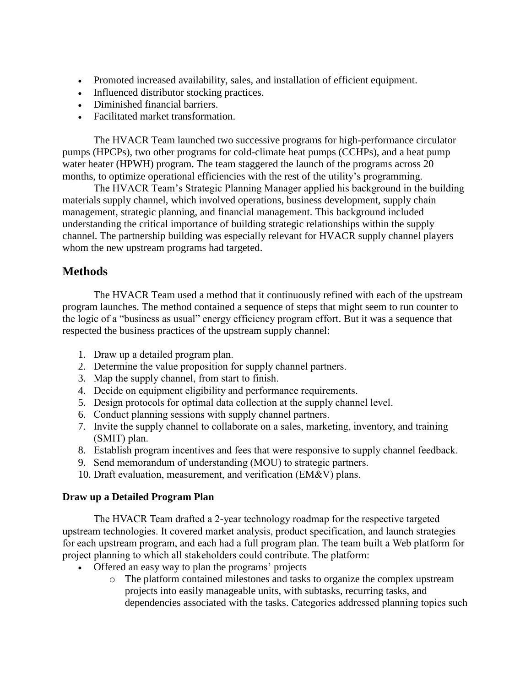- Promoted increased availability, sales, and installation of efficient equipment.
- Influenced distributor stocking practices.
- Diminished financial barriers.
- Facilitated market transformation.

The HVACR Team launched two successive programs for high-performance circulator pumps (HPCPs), two other programs for cold-climate heat pumps (CCHPs), and a heat pump water heater (HPWH) program. The team staggered the launch of the programs across 20 months, to optimize operational efficiencies with the rest of the utility's programming.

The HVACR Team's Strategic Planning Manager applied his background in the building materials supply channel, which involved operations, business development, supply chain management, strategic planning, and financial management. This background included understanding the critical importance of building strategic relationships within the supply channel. The partnership building was especially relevant for HVACR supply channel players whom the new upstream programs had targeted.

## **Methods**

The HVACR Team used a method that it continuously refined with each of the upstream program launches. The method contained a sequence of steps that might seem to run counter to the logic of a "business as usual" energy efficiency program effort. But it was a sequence that respected the business practices of the upstream supply channel:

- 1. Draw up a detailed program plan.
- 2. Determine the value proposition for supply channel partners.
- 3. Map the supply channel, from start to finish.
- 4. Decide on equipment eligibility and performance requirements.
- 5. Design protocols for optimal data collection at the supply channel level.
- 6. Conduct planning sessions with supply channel partners.
- 7. Invite the supply channel to collaborate on a sales, marketing, inventory, and training (SMIT) plan.
- 8. Establish program incentives and fees that were responsive to supply channel feedback.
- 9. Send memorandum of understanding (MOU) to strategic partners.
- 10. Draft evaluation, measurement, and verification (EM&V) plans.

### **Draw up a Detailed Program Plan**

The HVACR Team drafted a 2-year technology roadmap for the respective targeted upstream technologies. It covered market analysis, product specification, and launch strategies for each upstream program, and each had a full program plan. The team built a Web platform for project planning to which all stakeholders could contribute. The platform:

- Offered an easy way to plan the programs' projects
	- o The platform contained milestones and tasks to organize the complex upstream projects into easily manageable units, with subtasks, recurring tasks, and dependencies associated with the tasks. Categories addressed planning topics such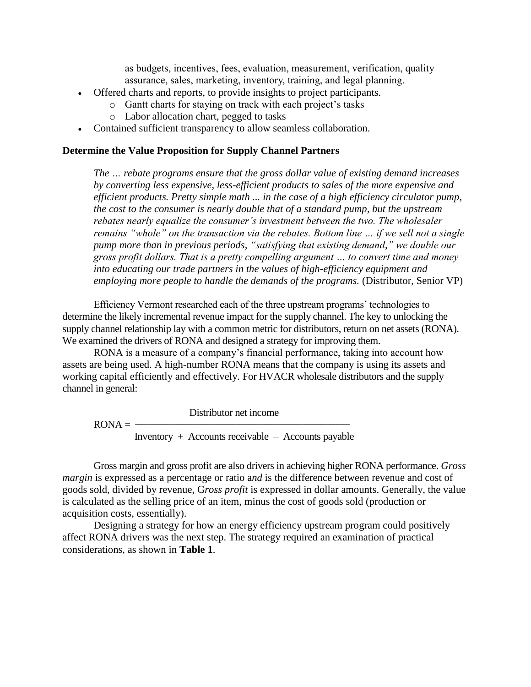as budgets, incentives, fees, evaluation, measurement, verification, quality assurance, sales, marketing, inventory, training, and legal planning.

- Offered charts and reports, to provide insights to project participants.
	- o Gantt charts for staying on track with each project's tasks
	- o Labor allocation chart, pegged to tasks
- Contained sufficient transparency to allow seamless collaboration.

### **Determine the Value Proposition for Supply Channel Partners**

*The … rebate programs ensure that the gross dollar value of existing demand increases by converting less expensive, less-efficient products to sales of the more expensive and efficient products. Pretty simple math ... in the case of a high efficiency circulator pump, the cost to the consumer is nearly double that of a standard pump, but the upstream rebates nearly equalize the consumer's investment between the two. The wholesaler remains "whole" on the transaction via the rebates. Bottom line … if we sell not a single pump more than in previous periods, "satisfying that existing demand," we double our gross profit dollars. That is a pretty compelling argument … to convert time and money into educating our trade partners in the values of high-efficiency equipment and employing more people to handle the demands of the programs. (Distributor, Senior VP)* 

Efficiency Vermont researched each of the three upstream programs' technologies to determine the likely incremental revenue impact for the supply channel. The key to unlocking the supply channel relationship lay with a common metric for distributors, return on net assets (RONA). We examined the drivers of RONA and designed a strategy for improving them.

RONA is a measure of a company's financial performance, taking into account how assets are being used. A high-number RONA means that the company is using its assets and working capital efficiently and effectively. For HVACR wholesale distributors and the supply channel in general:

 Distributor net income  $RONA =$ Inventory + Accounts receivable – Accounts payable

Gross margin and gross profit are also drivers in achieving higher RONA performance. *Gross margin* is expressed as a percentage or ratio a*nd* is the difference between revenue and cost of goods sold, divided by revenue, G*ross profit* is expressed in dollar amounts. Generally, the value is calculated as the selling price of an item, minus the cost of goods sold (production or acquisition costs, essentially).

Designing a strategy for how an energy efficiency upstream program could positively affect RONA drivers was the next step. The strategy required an examination of practical considerations, as shown in **[Table 1](#page-4-0)**.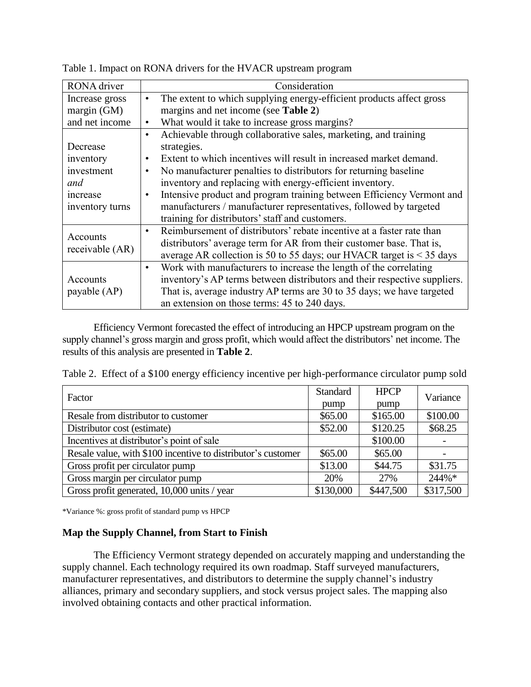| Consideration                                                                                                                                                                                                                                                                                                                                                                                                                                                                                                                              |  |  |  |  |
|--------------------------------------------------------------------------------------------------------------------------------------------------------------------------------------------------------------------------------------------------------------------------------------------------------------------------------------------------------------------------------------------------------------------------------------------------------------------------------------------------------------------------------------------|--|--|--|--|
| The extent to which supplying energy-efficient products affect gross<br>$\bullet$                                                                                                                                                                                                                                                                                                                                                                                                                                                          |  |  |  |  |
| margins and net income (see Table 2)                                                                                                                                                                                                                                                                                                                                                                                                                                                                                                       |  |  |  |  |
| What would it take to increase gross margins?<br>$\bullet$                                                                                                                                                                                                                                                                                                                                                                                                                                                                                 |  |  |  |  |
| Achievable through collaborative sales, marketing, and training<br>$\bullet$<br>strategies.<br>Extent to which incentives will result in increased market demand.<br>$\bullet$<br>No manufacturer penalties to distributors for returning baseline<br>$\bullet$<br>inventory and replacing with energy-efficient inventory.<br>Intensive product and program training between Efficiency Vermont and<br>$\bullet$<br>manufacturers / manufacturer representatives, followed by targeted<br>training for distributors' staff and customers. |  |  |  |  |
| Reimbursement of distributors' rebate incentive at a faster rate than<br>distributors' average term for AR from their customer base. That is,<br>average AR collection is 50 to 55 days; our HVACR target is $<$ 35 days<br>Work with manufacturers to increase the length of the correlating<br>$\bullet$<br>inventory's AP terms between distributors and their respective suppliers.<br>That is, average industry AP terms are 30 to 35 days; we have targeted<br>an extension on those terms: 45 to 240 days.                          |  |  |  |  |
|                                                                                                                                                                                                                                                                                                                                                                                                                                                                                                                                            |  |  |  |  |

<span id="page-4-0"></span>Table 1. Impact on RONA drivers for the HVACR upstream program

Efficiency Vermont forecasted the effect of introducing an HPCP upstream program on the supply channel's gross margin and gross profit, which would affect the distributors' net income. The results of this analysis are presented in **[Table 2](#page-4-1)**.

<span id="page-4-1"></span>Table 2. Effect of a \$100 energy efficiency incentive per high-performance circulator pump sold

| Factor                                                       | <b>Standard</b> | <b>HPCP</b> | Variance  |  |
|--------------------------------------------------------------|-----------------|-------------|-----------|--|
|                                                              | pump            | pump        |           |  |
| Resale from distributor to customer                          | \$65.00         | \$165.00    | \$100.00  |  |
| Distributor cost (estimate)                                  | \$52.00         | \$120.25    | \$68.25   |  |
| Incentives at distributor's point of sale                    |                 | \$100.00    |           |  |
| Resale value, with \$100 incentive to distributor's customer | \$65.00         | \$65.00     |           |  |
| Gross profit per circulator pump                             | \$13.00         | \$44.75     | \$31.75   |  |
| Gross margin per circulator pump                             | 20%             | 27%         | $244\%*$  |  |
| Gross profit generated, 10,000 units / year                  | \$130,000       | \$447,500   | \$317,500 |  |

\*Variance %: gross profit of standard pump vs HPCP

### **Map the Supply Channel, from Start to Finish**

The Efficiency Vermont strategy depended on accurately mapping and understanding the supply channel. Each technology required its own roadmap. Staff surveyed manufacturers, manufacturer representatives, and distributors to determine the supply channel's industry alliances, primary and secondary suppliers, and stock versus project sales. The mapping also involved obtaining contacts and other practical information.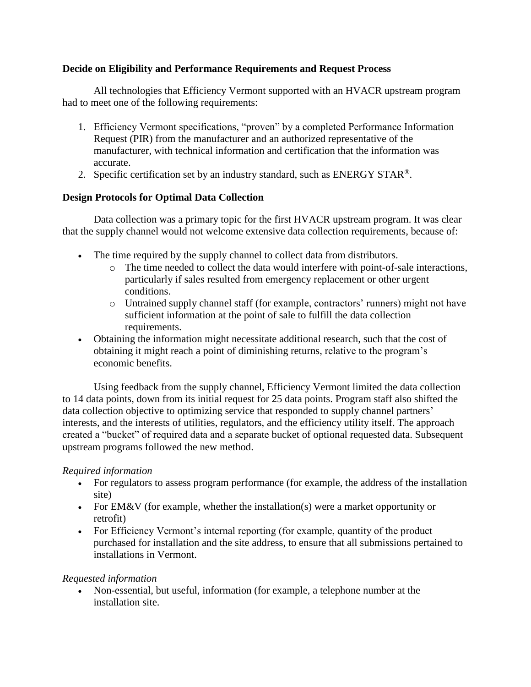### **Decide on Eligibility and Performance Requirements and Request Process**

All technologies that Efficiency Vermont supported with an HVACR upstream program had to meet one of the following requirements:

- 1. Efficiency Vermont specifications, "proven" by a completed Performance Information Request (PIR) from the manufacturer and an authorized representative of the manufacturer, with technical information and certification that the information was accurate.
- 2. Specific certification set by an industry standard, such as ENERGY STAR<sup>®</sup>.

### **Design Protocols for Optimal Data Collection**

Data collection was a primary topic for the first HVACR upstream program. It was clear that the supply channel would not welcome extensive data collection requirements, because of:

- The time required by the supply channel to collect data from distributors.
	- o The time needed to collect the data would interfere with point-of-sale interactions, particularly if sales resulted from emergency replacement or other urgent conditions.
	- o Untrained supply channel staff (for example, contractors' runners) might not have sufficient information at the point of sale to fulfill the data collection requirements.
- Obtaining the information might necessitate additional research, such that the cost of obtaining it might reach a point of diminishing returns, relative to the program's economic benefits.

Using feedback from the supply channel, Efficiency Vermont limited the data collection to 14 data points, down from its initial request for 25 data points. Program staff also shifted the data collection objective to optimizing service that responded to supply channel partners' interests, and the interests of utilities, regulators, and the efficiency utility itself. The approach created a "bucket" of required data and a separate bucket of optional requested data. Subsequent upstream programs followed the new method.

### *Required information*

- For regulators to assess program performance (for example, the address of the installation site)
- For EM&V (for example, whether the installation(s) were a market opportunity or retrofit)
- For Efficiency Vermont's internal reporting (for example, quantity of the product purchased for installation and the site address, to ensure that all submissions pertained to installations in Vermont.

### *Requested information*

 Non-essential, but useful, information (for example, a telephone number at the installation site.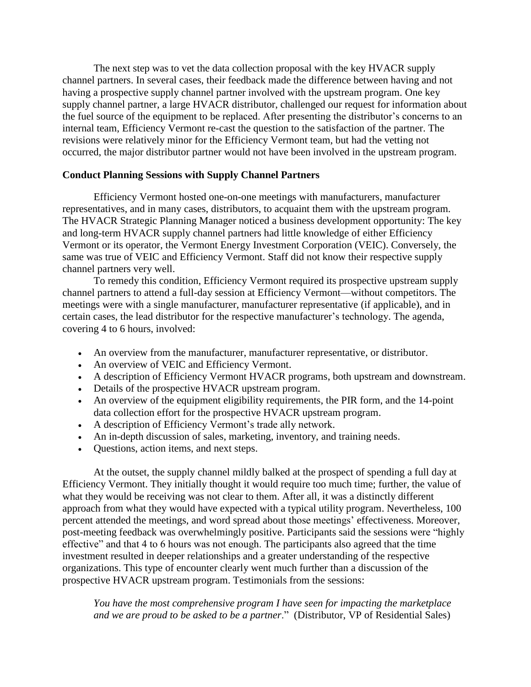The next step was to vet the data collection proposal with the key HVACR supply channel partners. In several cases, their feedback made the difference between having and not having a prospective supply channel partner involved with the upstream program. One key supply channel partner, a large HVACR distributor, challenged our request for information about the fuel source of the equipment to be replaced. After presenting the distributor's concerns to an internal team, Efficiency Vermont re-cast the question to the satisfaction of the partner. The revisions were relatively minor for the Efficiency Vermont team, but had the vetting not occurred, the major distributor partner would not have been involved in the upstream program.

#### **Conduct Planning Sessions with Supply Channel Partners**

Efficiency Vermont hosted one-on-one meetings with manufacturers, manufacturer representatives, and in many cases, distributors, to acquaint them with the upstream program. The HVACR Strategic Planning Manager noticed a business development opportunity: The key and long-term HVACR supply channel partners had little knowledge of either Efficiency Vermont or its operator, the Vermont Energy Investment Corporation (VEIC). Conversely, the same was true of VEIC and Efficiency Vermont. Staff did not know their respective supply channel partners very well.

To remedy this condition, Efficiency Vermont required its prospective upstream supply channel partners to attend a full-day session at Efficiency Vermont—without competitors. The meetings were with a single manufacturer, manufacturer representative (if applicable), and in certain cases, the lead distributor for the respective manufacturer's technology. The agenda, covering 4 to 6 hours, involved:

- An overview from the manufacturer, manufacturer representative, or distributor.
- An overview of VEIC and Efficiency Vermont.
- A description of Efficiency Vermont HVACR programs, both upstream and downstream.
- Details of the prospective HVACR upstream program.
- An overview of the equipment eligibility requirements, the PIR form, and the 14-point data collection effort for the prospective HVACR upstream program.
- A description of Efficiency Vermont's trade ally network.
- An in-depth discussion of sales, marketing, inventory, and training needs.
- Questions, action items, and next steps.

At the outset, the supply channel mildly balked at the prospect of spending a full day at Efficiency Vermont. They initially thought it would require too much time; further, the value of what they would be receiving was not clear to them. After all, it was a distinctly different approach from what they would have expected with a typical utility program. Nevertheless, 100 percent attended the meetings, and word spread about those meetings' effectiveness. Moreover, post-meeting feedback was overwhelmingly positive. Participants said the sessions were "highly effective" and that 4 to 6 hours was not enough. The participants also agreed that the time investment resulted in deeper relationships and a greater understanding of the respective organizations. This type of encounter clearly went much further than a discussion of the prospective HVACR upstream program. Testimonials from the sessions:

*You have the most comprehensive program I have seen for impacting the marketplace and we are proud to be asked to be a partner*." (Distributor, VP of Residential Sales)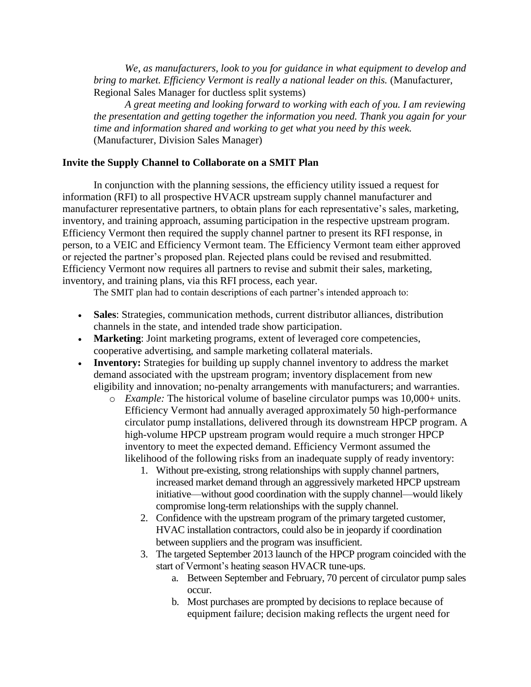*We, as manufacturers, look to you for guidance in what equipment to develop and bring to market. Efficiency Vermont is really a national leader on this.* (Manufacturer, Regional Sales Manager for ductless split systems)

*A great meeting and looking forward to working with each of you. I am reviewing the presentation and getting together the information you need. Thank you again for your time and information shared and working to get what you need by this week.* (Manufacturer, Division Sales Manager)

#### **Invite the Supply Channel to Collaborate on a SMIT Plan**

In conjunction with the planning sessions, the efficiency utility issued a request for information (RFI) to all prospective HVACR upstream supply channel manufacturer and manufacturer representative partners, to obtain plans for each representative's sales, marketing, inventory, and training approach, assuming participation in the respective upstream program. Efficiency Vermont then required the supply channel partner to present its RFI response, in person, to a VEIC and Efficiency Vermont team. The Efficiency Vermont team either approved or rejected the partner's proposed plan. Rejected plans could be revised and resubmitted. Efficiency Vermont now requires all partners to revise and submit their sales, marketing, inventory, and training plans, via this RFI process, each year.

The SMIT plan had to contain descriptions of each partner's intended approach to:

- **Sales**: Strategies, communication methods, current distributor alliances, distribution channels in the state, and intended trade show participation.
- **Marketing**: Joint marketing programs, extent of leveraged core competencies, cooperative advertising, and sample marketing collateral materials.
- **Inventory:** Strategies for building up supply channel inventory to address the market demand associated with the upstream program; inventory displacement from new eligibility and innovation; no-penalty arrangements with manufacturers; and warranties.
	- o *Example:* The historical volume of baseline circulator pumps was 10,000+ units. Efficiency Vermont had annually averaged approximately 50 high-performance circulator pump installations, delivered through its downstream HPCP program. A high-volume HPCP upstream program would require a much stronger HPCP inventory to meet the expected demand. Efficiency Vermont assumed the likelihood of the following risks from an inadequate supply of ready inventory:
		- 1. Without pre-existing, strong relationships with supply channel partners, increased market demand through an aggressively marketed HPCP upstream initiative—without good coordination with the supply channel—would likely compromise long-term relationships with the supply channel.
		- 2. Confidence with the upstream program of the primary targeted customer, HVAC installation contractors, could also be in jeopardy if coordination between suppliers and the program was insufficient.
		- 3. The targeted September 2013 launch of the HPCP program coincided with the start of Vermont's heating season HVACR tune-ups.
			- a. Between September and February, 70 percent of circulator pump sales occur.
			- b. Most purchases are prompted by decisions to replace because of equipment failure; decision making reflects the urgent need for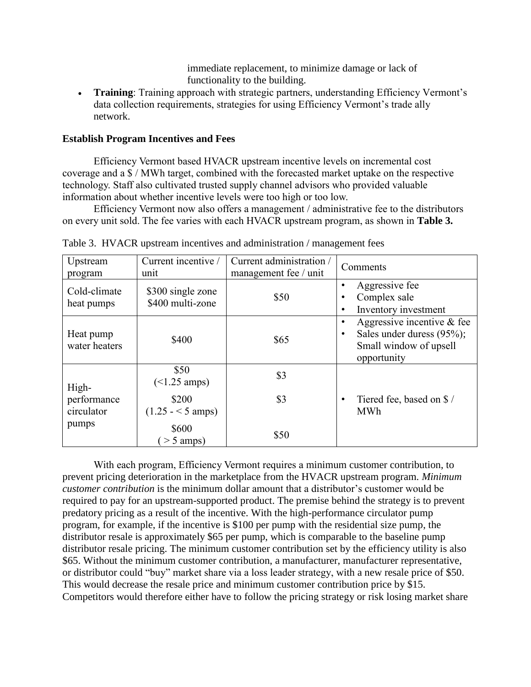immediate replacement, to minimize damage or lack of functionality to the building.

 **Training**: Training approach with strategic partners, understanding Efficiency Vermont's data collection requirements, strategies for using Efficiency Vermont's trade ally network.

### **Establish Program Incentives and Fees**

Efficiency Vermont based HVACR upstream incentive levels on incremental cost coverage and a \$ / MWh target, combined with the forecasted market uptake on the respective technology. Staff also cultivated trusted supply channel advisors who provided valuable information about whether incentive levels were too high or too low.

Efficiency Vermont now also offers a management / administrative fee to the distributors on every unit sold. The fee varies with each HVACR upstream program, as shown in **[Table 3.](#page-8-0)**

| Upstream<br>program        | Current incentive /<br>unit           | Current administration /<br>management fee / unit | Comments                                                                                                                      |
|----------------------------|---------------------------------------|---------------------------------------------------|-------------------------------------------------------------------------------------------------------------------------------|
| Cold-climate<br>heat pumps | \$300 single zone<br>\$400 multi-zone | \$50                                              | Aggressive fee<br>$\bullet$<br>Complex sale<br>$\bullet$<br>Inventory investment<br>$\bullet$                                 |
| Heat pump<br>water heaters | \$400                                 | \$65                                              | Aggressive incentive $\&$ fee<br>$\bullet$<br>Sales under duress (95%);<br>$\bullet$<br>Small window of upsell<br>opportunity |
| High-                      | \$50<br>$($ < $1.25 \text{ amps})$    | \$3                                               |                                                                                                                               |
| performance<br>circulator  | \$200<br>$(1.25 - 5 \text{ amps})$    | \$3                                               | Tiered fee, based on \$/<br>$\bullet$<br><b>MWh</b>                                                                           |
| pumps                      | \$600<br>$>$ 5 amps)                  | \$50                                              |                                                                                                                               |

<span id="page-8-0"></span>Table 3. HVACR upstream incentives and administration / management fees

With each program, Efficiency Vermont requires a minimum customer contribution, to prevent pricing deterioration in the marketplace from the HVACR upstream program. *Minimum customer contribution* is the minimum dollar amount that a distributor's customer would be required to pay for an upstream-supported product. The premise behind the strategy is to prevent predatory pricing as a result of the incentive. With the high-performance circulator pump program, for example, if the incentive is \$100 per pump with the residential size pump, the distributor resale is approximately \$65 per pump, which is comparable to the baseline pump distributor resale pricing. The minimum customer contribution set by the efficiency utility is also \$65. Without the minimum customer contribution, a manufacturer, manufacturer representative, or distributor could "buy" market share via a loss leader strategy, with a new resale price of \$50. This would decrease the resale price and minimum customer contribution price by \$15. Competitors would therefore either have to follow the pricing strategy or risk losing market share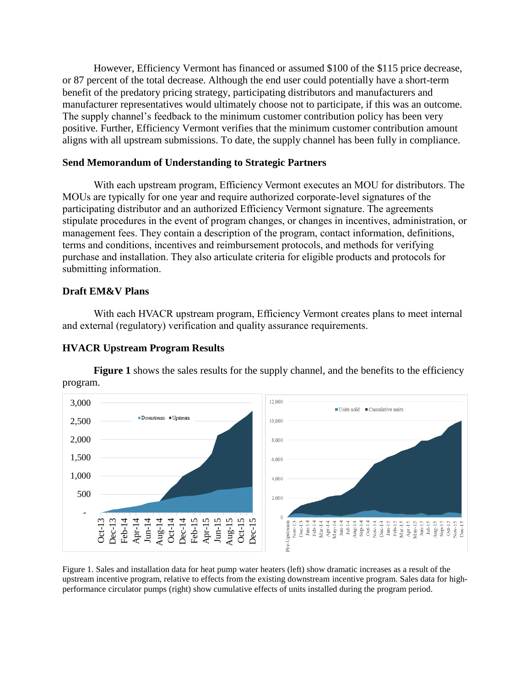However, Efficiency Vermont has financed or assumed \$100 of the \$115 price decrease, or 87 percent of the total decrease. Although the end user could potentially have a short-term benefit of the predatory pricing strategy, participating distributors and manufacturers and manufacturer representatives would ultimately choose not to participate, if this was an outcome. The supply channel's feedback to the minimum customer contribution policy has been very positive. Further, Efficiency Vermont verifies that the minimum customer contribution amount aligns with all upstream submissions. To date, the supply channel has been fully in compliance.

### **Send Memorandum of Understanding to Strategic Partners**

With each upstream program, Efficiency Vermont executes an MOU for distributors. The MOUs are typically for one year and require authorized corporate-level signatures of the participating distributor and an authorized Efficiency Vermont signature. The agreements stipulate procedures in the event of program changes, or changes in incentives, administration, or management fees. They contain a description of the program, contact information, definitions, terms and conditions, incentives and reimbursement protocols, and methods for verifying purchase and installation. They also articulate criteria for eligible products and protocols for submitting information.

### **Draft EM&V Plans**

With each HVACR upstream program, Efficiency Vermont creates plans to meet internal and external (regulatory) verification and quality assurance requirements.

### **HVACR Upstream Program Results**

**Figure 1** shows the sales results for the supply channel, and the benefits to the efficiency program.



Figure 1. Sales and installation data for heat pump water heaters (left) show dramatic increases as a result of the upstream incentive program, relative to effects from the existing downstream incentive program. Sales data for highperformance circulator pumps (right) show cumulative effects of units installed during the program period.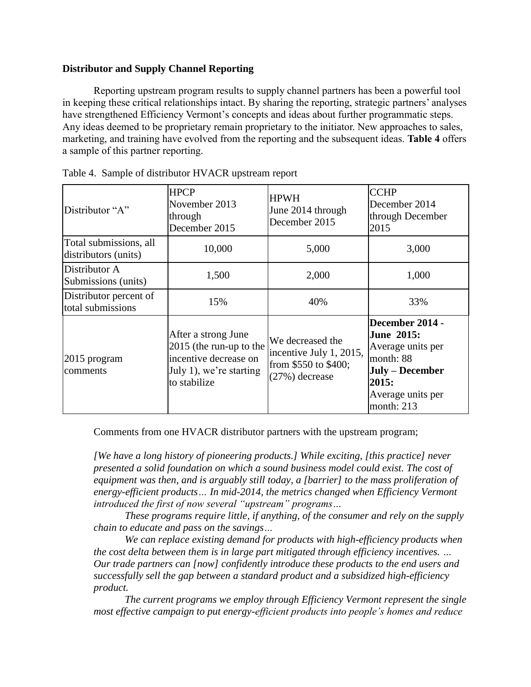### **Distributor and Supply Channel Reporting**

Reporting upstream program results to supply channel partners has been a powerful tool in keeping these critical relationships intact. By sharing the reporting, strategic partners' analyses have strengthened Efficiency Vermont's concepts and ideas about further programmatic steps. Any ideas deemed to be proprietary remain proprietary to the initiator. New approaches to sales, marketing, and training have evolved from the reporting and the subsequent ideas. **Table 4** offers a sample of this partner reporting.

| Distributor "A"                                | <b>HPCP</b><br>November 2013<br>through<br>December 2015                                                           | <b>HPWH</b><br>June 2014 through<br>December 2015                                     | <b>CCHP</b><br>December 2014<br>through December<br>2015                                                                              |
|------------------------------------------------|--------------------------------------------------------------------------------------------------------------------|---------------------------------------------------------------------------------------|---------------------------------------------------------------------------------------------------------------------------------------|
| Total submissions, all<br>distributors (units) | 10,000                                                                                                             | 5,000                                                                                 | 3,000                                                                                                                                 |
| Distributor A<br>Submissions (units)           | 1,500                                                                                                              | 2,000                                                                                 | 1,000                                                                                                                                 |
| Distributor percent of<br>total submissions    | 15%                                                                                                                | 40%                                                                                   | 33%                                                                                                                                   |
| $ 2015$ program<br>comments                    | After a strong June<br>2015 (the run-up to the<br>incentive decrease on<br>July 1), we're starting<br>to stabilize | We decreased the<br>incentive July 1, 2015,<br>from \$550 to \$400;<br>(27%) decrease | December 2014 -<br><b>June 2015:</b><br>Average units per<br>month: 88<br>July - December<br>2015:<br>Average units per<br>month: 213 |

|  |  |  | Table 4. Sample of distributor HVACR upstream report |  |  |  |  |
|--|--|--|------------------------------------------------------|--|--|--|--|
|--|--|--|------------------------------------------------------|--|--|--|--|

Comments from one HVACR distributor partners with the upstream program;

*[We have a long history of pioneering products.] While exciting, [this practice] never presented a solid foundation on which a sound business model could exist. The cost of equipment was then, and is arguably still today, a [barrier] to the mass proliferation of energy-efficient products… In mid-2014, the metrics changed when Efficiency Vermont introduced the first of now several "upstream" programs…*

*These programs require little, if anything, of the consumer and rely on the supply chain to educate and pass on the savings…*

*We can replace existing demand for products with high-efficiency products when the cost delta between them is in large part mitigated through efficiency incentives. … Our trade partners can [now] confidently introduce these products to the end users and successfully sell the gap between a standard product and a subsidized high-efficiency product.*

*The current programs we employ through Efficiency Vermont represent the single most effective campaign to put energy-efficient products into people's homes and reduce*